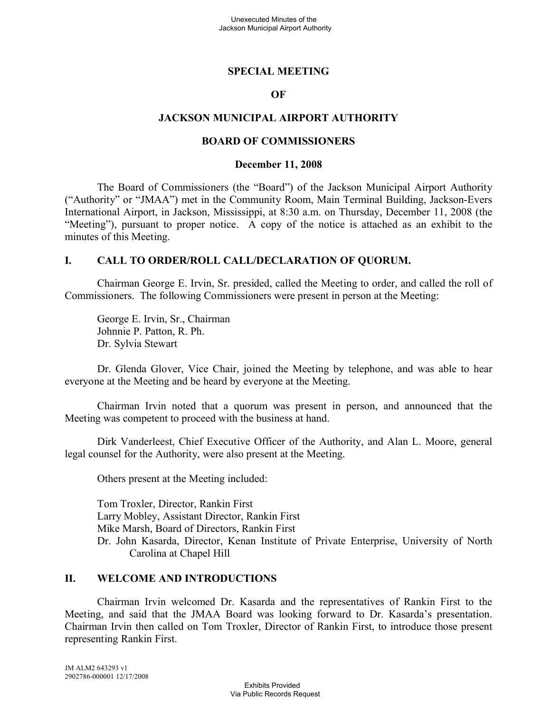## **SPECIAL MEETING**

## **OF**

## **JACKSON MUNICIPAL AIRPORT AUTHORITY**

### **BOARD OF COMMISSIONERS**

#### **December 11, 2008**

The Board of Commissioners (the "Board") of the Jackson Municipal Airport Authority ("Authority" or "JMAA") met in the Community Room, Main Terminal Building, Jackson-Evers International Airport, in Jackson, Mississippi, at 8:30 a.m. on Thursday, December 11, 2008 (the "Meeting"), pursuant to proper notice. A copy of the notice is attached as an exhibit to the minutes of this Meeting.

## **I. CALL TO ORDER/ROLL CALL/DECLARATION OF QUORUM.**

Chairman George E. Irvin, Sr. presided, called the Meeting to order, and called the roll of Commissioners. The following Commissioners were present in person at the Meeting:

George E. Irvin, Sr., Chairman Johnnie P. Patton, R. Ph. Dr. Sylvia Stewart

Dr. Glenda Glover, Vice Chair, joined the Meeting by telephone, and was able to hear everyone at the Meeting and be heard by everyone at the Meeting.

Chairman Irvin noted that a quorum was present in person, and announced that the Meeting was competent to proceed with the business at hand.

Dirk Vanderleest, Chief Executive Officer of the Authority, and Alan L. Moore, general legal counsel for the Authority, were also present at the Meeting.

Others present at the Meeting included:

Tom Troxler, Director, Rankin First Larry Mobley, Assistant Director, Rankin First Mike Marsh, Board of Directors, Rankin First Dr. John Kasarda, Director, Kenan Institute of Private Enterprise, University of North Carolina at Chapel Hill

## **II. WELCOME AND INTRODUCTIONS**

Chairman Irvin welcomed Dr. Kasarda and the representatives of Rankin First to the Meeting, and said that the JMAA Board was looking forward to Dr. Kasarda's presentation. Chairman Irvin then called on Tom Troxler, Director of Rankin First, to introduce those present representing Rankin First.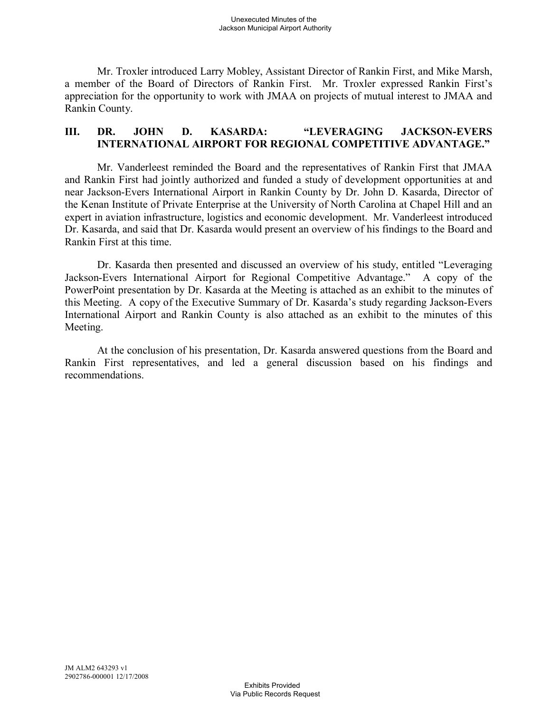Mr. Troxler introduced Larry Mobley, Assistant Director of Rankin First, and Mike Marsh, a member of the Board of Directors of Rankin First. Mr. Troxler expressed Rankin First's appreciation for the opportunity to work with JMAA on projects of mutual interest to JMAA and Rankin County.

# **III. DR. JOHN D. KASARDA: "LEVERAGING JACKSON-EVERS INTERNATIONAL AIRPORT FOR REGIONAL COMPETITIVE ADVANTAGE."**

Mr. Vanderleest reminded the Board and the representatives of Rankin First that JMAA and Rankin First had jointly authorized and funded a study of development opportunities at and near Jackson-Evers International Airport in Rankin County by Dr. John D. Kasarda, Director of the Kenan Institute of Private Enterprise at the University of North Carolina at Chapel Hill and an expert in aviation infrastructure, logistics and economic development. Mr. Vanderleest introduced Dr. Kasarda, and said that Dr. Kasarda would present an overview of his findings to the Board and Rankin First at this time.

Dr. Kasarda then presented and discussed an overview of his study, entitled "Leveraging Jackson-Evers International Airport for Regional Competitive Advantage." A copy of the PowerPoint presentation by Dr. Kasarda at the Meeting is attached as an exhibit to the minutes of this Meeting. A copy of the Executive Summary of Dr. Kasarda's study regarding Jackson-Evers International Airport and Rankin County is also attached as an exhibit to the minutes of this Meeting.

At the conclusion of his presentation, Dr. Kasarda answered questions from the Board and Rankin First representatives, and led a general discussion based on his findings and recommendations.